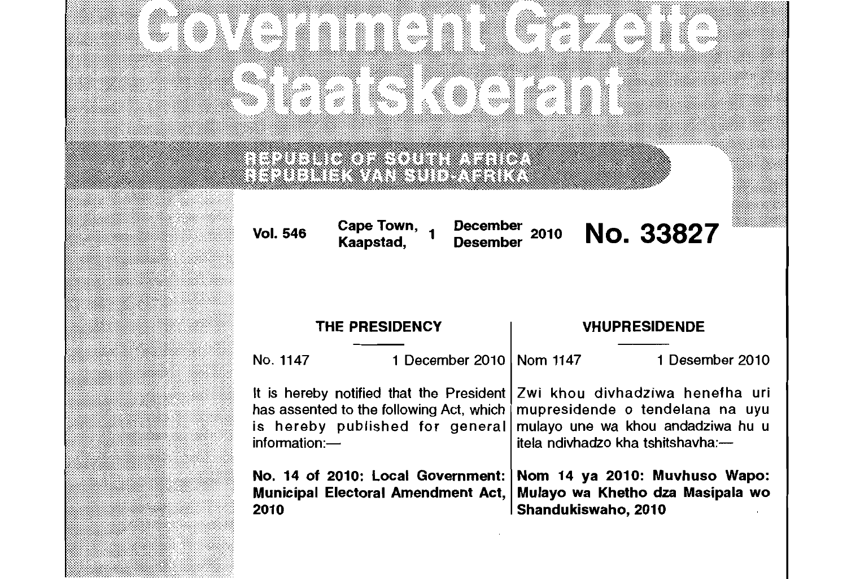|                                                                                                                                                                                                                                    | ONA HENRI ETA LEG<br>METHIKO KONFORMATION                                                                                                         |                                                                                                                                                                                                                                          |                      |  |
|------------------------------------------------------------------------------------------------------------------------------------------------------------------------------------------------------------------------------------|---------------------------------------------------------------------------------------------------------------------------------------------------|------------------------------------------------------------------------------------------------------------------------------------------------------------------------------------------------------------------------------------------|----------------------|--|
|                                                                                                                                                                                                                                    | <u>han matan na mana</u><br><u>in an manantan any kaominina mpikambana ny kaominina mpikambana ny kaominina mpikambana ny kaominina mpikamban</u> |                                                                                                                                                                                                                                          |                      |  |
| <b>Vol. 546</b>                                                                                                                                                                                                                    | Cape Town, 1<br>December<br>Kaapstad,<br><b>Desember</b>                                                                                          | 2010                                                                                                                                                                                                                                     | <b>No. 33827</b>     |  |
|                                                                                                                                                                                                                                    | <b>THE PRESIDENCY</b>                                                                                                                             |                                                                                                                                                                                                                                          | <b>VHUPRESIDENDE</b> |  |
| No. 1147                                                                                                                                                                                                                           | 1 December 2010   Nom 1147                                                                                                                        |                                                                                                                                                                                                                                          | 1 Desember 2010      |  |
| It is hereby notified that the President<br>has assented to the following Act, which<br>is hereby published for general<br>information:-<br>No. 14 of 2010: Local Government:<br><b>Municipal Electoral Amendment Act,</b><br>2010 |                                                                                                                                                   | Zwi khou divhadziwa henefha uri<br>mupresidende o tendelana na uyu<br>mulayo une wa khou andadziwa hu u<br>itela ndivhadzo kha tshitshavha:-<br>Nom 14 ya 2010: Muvhuso Wapo:<br>Mulayo wa Khetho dza Masipala wo<br>Shandukiswaho, 2010 |                      |  |
|                                                                                                                                                                                                                                    |                                                                                                                                                   |                                                                                                                                                                                                                                          |                      |  |

<u> Manazarta da Manazarta da Manazarta da Manazarta do America do America do America do America do America do A</u>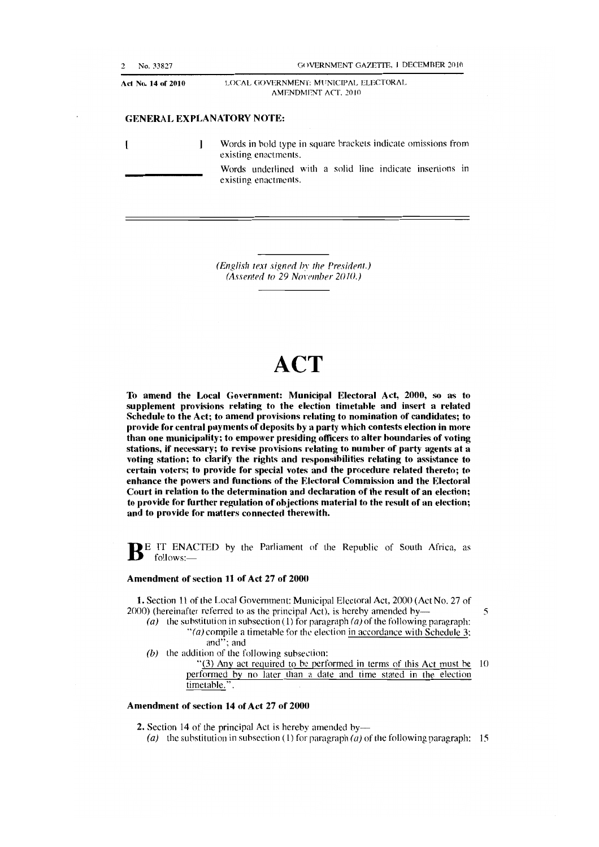| 2 | No. 33827          | <b>GOVERNMENT GAZETTE, 1 DECEMBER 2010</b>                                            |
|---|--------------------|---------------------------------------------------------------------------------------|
|   | Act No. 14 of 2010 | LOCAL GOVERNMENT: MUNICIPAL ELECTORAL<br>AMENDMENT ACT. 2010                          |
|   |                    | <b>GENERAL EXPLANATORY NOTE:</b>                                                      |
|   |                    | Words in bold type in square brackets indicate omissions from<br>existing enactments. |
|   |                    | Words underlined with a solid line indicate insertions in<br>existing enactments.     |

*(English rext signed* In' *the President.)*  (Assented to 29 November 2010.)

# **ACT**

To amend the Local Government: Municipal Electoral Act, 2000, so as to supplement provisions relating to the election timetable and insert a related Schedule to the Act; to amend provisions relating to nomination of candidates; to provide for central payments of deposits by a party which contests election in more than one municipality; to empower presiding officers to alter boundaries of voting stations, if necessary; to revise provisions relating to number of party agents at a voting station; to clarify the rights and responsibilities relating to assistance to certain voters; to provide for special votes and the procedure related thereto; to enhance the powers and functions of the Electoral Commission and the Electoral Court in relation to the determination and declaration of the result of an election; to provide for further regulation of objections material to the result of an election; and to provide for matters connected therewith.

 $\mathbf{B}^{\text{E}}$  IT ENACTED by the Parliament of the Republic of South Africa, as follows:-

#### Amendment of section 11 of Act 27 of 2000

1. Section 11 of the Local Government: Municipal Electoral Act, 2000 (Act No. 27 of 2000) (hereinafter referred to as the principal Act), is hereby amended by- $\qquad 5$ 

- (a) the substitution in subsection (1) for paragraph (a) of the following paragraph: "(a) compile a timetahle for the election in accordance with Schedule 3: and"; and
- (b) the addition of the following subsection:

"(3) Any act required to be performed in terms of this Act must be 10 performed by no later than a date and time stated in the election timetable.".

#### Amendment of section 14 of Act 27 of 2000

2. Section 14 of the principal Act is hereby amended by—

(a) the substitution in subsection (1) for paragraph (a) of the following paragraph: 15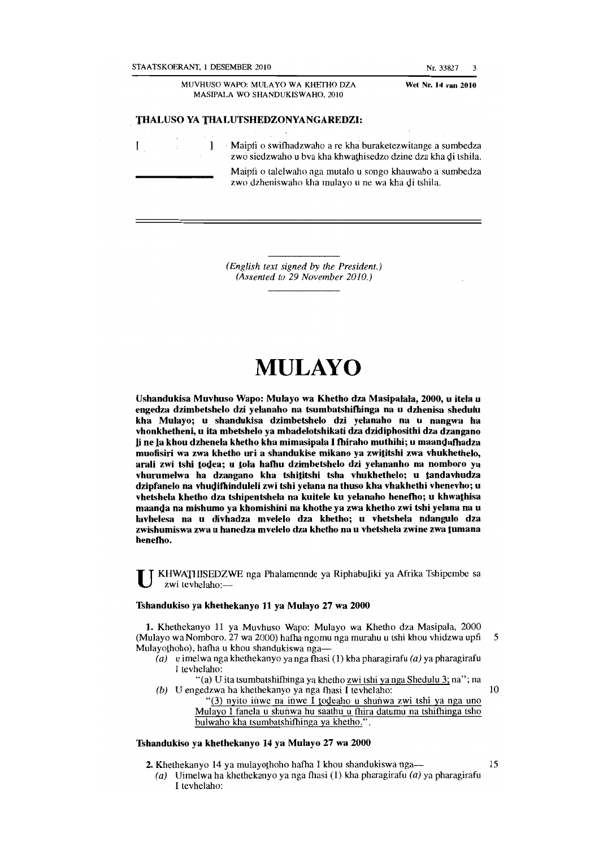STAATSKOERANT, I DESEMBER 2010

Nr.33827 3

MUVHUSO WAPO: MULA YO WA KHETHO DZA MASIPALA WO SHANDUKISWAHO, 2010

Wet Nr. 14 van 2010

#### THALUSO YA THALUTSHEDZONYANGAREDZI:

 $\mathbf{I}$  $\mathbf{I}$ . Maipfi 0 swifbadzwaho are kha buraketezwitange a sumbedza zwo siedzwaho u bva kha khwathisedzo dzine dza kha di tshila. Maipfi o talelwaho nga mutalo u songo khauwaho a sumbedza zwo dzheniswaho kha mulayo u ne wa kha di tshila.

> *(English text signed* by *the President.) (Assented to* 29 *November 2010.)*

## **MULAYO**

Ushandukisa Muvhuso Wapo: Mulayo wa Khetho dza Masipalala, 2000, u itela u engedza dzimbetshelo dzi yelanaho na tsumbatshilbinga na u dzhenisa shedulu kha Mulayo; u shandukisa dzimbetshelo dzi yelanaho na u nangwa ha vhonkhetheni, u ita mbetshelo ya mbadelotshikati dza dzidiphosithi dza dzangano Ii ne la khou dzhenela khetho kha mimasipala I tbiraho muthihi; u maamJatbadza muofisiri wa zwa khetho uri a shandukise mikano ya zwititshi zwa vhukhethelo, arali zwi tshi todea; u tola hafhu dzimbetshelo dzi yelananho na nomboro ya vhurumelwa ha dzangano kha tshititshi tsha vhukhethelo; u tandavhudza dzipfanelo na vhudifhinduleli zwi tshi yelana na thuso kha vhakhethi vhenevho; u vhetshela khetho dza tshipentshela na kuitele ku yelanaho henefho; u khwathisa maanda na mishumo ya khomishini na khothe ya zwa khetho zwi tshi yelana na u lavhelesa na u divhadza mvelelo dza khetho; u vhetshela ndangulo dza zwishumiswa zwa u hanedza mvelelo dza khetho na u vhetshela zwine zwa tumana henefho.

KHWATHISEDZWE nga Phalamennde ya Riphabuliki ya Afrika Tshipembe sa zwi teyhelaho:-

#### Tshandukiso ya kbethekanyo 11 ya Mulayo 27 wa 2000

1. Khethekanyo 11 ya Muvhuso Wapo: Mulayo wa Khetho dza Masipala, 2000 (Mulayo wa Nomboro. 27 wa 2000) hafha ngomu nga murahu u tshi khou vhidzwa upfi 5 Mulayothoho), hatba u khou shandukiswa nga-

- $(a)$  u imelwa nga khethekanyo ya nga fhasi (1) kha pharagirafu (a) ya pharagirafu J tevhelaho:
- "(a) U ita tsumbatshifhinga ya khetho zwi tshi ya nga Shedulu 3; na"; na (b) U engedzwa ha khethekanyo ya nga fhasi I teyhelaho:  $10$ 
	- "(3) nyito inwe na inwe I todeaho u shunwa zwi tshi ya nga uno Mulayo I fanela u shunwa hu saathu u fhira datumu na tshifhinga tsho bulwaho kha tsumbatshifhinga ya khetbo." .

#### Tshandukiso ya khetbekanyo 14 ya Mulayo 27 wa 2000

- 2. Khethekanyo 14 ya mulayothoho hafha I khou shandukiswa nga--
	- (a) Uimelwa ha khethekanyo ya nga fhasi (1) kha pharagirafu (a) ya pharagirafu I tevhelaho: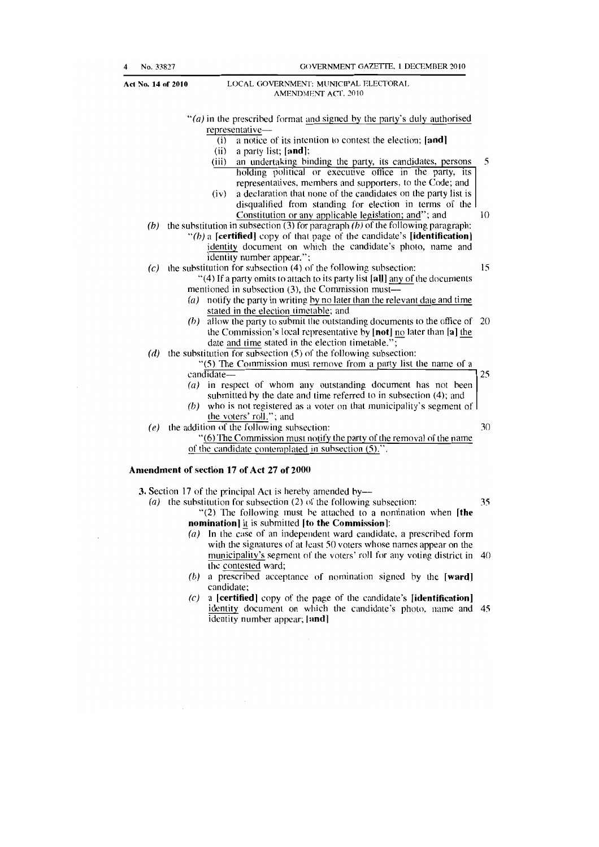|     | "(a) in the prescribed format and signed by the party's duly authorised                                                                                              |                 |
|-----|----------------------------------------------------------------------------------------------------------------------------------------------------------------------|-----------------|
|     | representative-                                                                                                                                                      |                 |
|     | a notice of its intention to contest the election; [and]<br>(i)                                                                                                      |                 |
|     | a party list; $[and]$ ;<br>(ii)                                                                                                                                      |                 |
|     | an undertaking binding the party, its candidates, persons<br>(iii)                                                                                                   | 5               |
|     | holding political or executive office in the party, its<br>representatives, members and supporters, to the Code; and                                                 |                 |
|     | a declaration that none of the candidates on the party list is<br>(iv)                                                                                               |                 |
|     | disqualified from standing for election in terms of the                                                                                                              | 10 <sup>°</sup> |
|     | Constitution or any applicable legislation; and"; and<br>the substitution in subsection $(3)$ for paragraph (b) of the following paragraph:                          |                 |
| (b) | " $(b)$ a [certified] copy of that page of the candidate's [identification]                                                                                          |                 |
|     | identity document on which the candidate's photo, name and                                                                                                           |                 |
|     | identity number appear.";                                                                                                                                            |                 |
| (c) | the substitution for subsection (4) of the following subsection:                                                                                                     | 15              |
|     | "(4) If a party omits to attach to its party list [all] any of the documents                                                                                         |                 |
|     | mentioned in subsection (3), the Commission must-                                                                                                                    |                 |
|     | $(a)$ notify the party in writing by no later than the relevant date and time                                                                                        |                 |
|     | stated in the election timetable; and                                                                                                                                |                 |
|     | allow the party to submit the outstanding documents to the office of<br>(b)                                                                                          | 20              |
|     | the Commission's local representative by [not] no later than [a] the<br>date and time stated in the election timetable.";                                            |                 |
|     | $(d)$ the substitution for subsection (5) of the following subsection:                                                                                               |                 |
|     | "(5) The Commission must remove from a party list the name of a                                                                                                      |                 |
|     | $c$ andidate—                                                                                                                                                        | 25              |
|     | in respect of whom any outstanding document has not been<br>$\left( a\right)$                                                                                        |                 |
|     | submitted by the date and time referred to in subsection (4); and                                                                                                    |                 |
|     | who is not registered as a voter on that municipality's segment of $\vert$<br>(b)                                                                                    |                 |
|     | the voters' roll."; and                                                                                                                                              |                 |
| (e) | the addition of the following subsection:                                                                                                                            | 30              |
|     | "(6) The Commission must notify the party of the removal of the name                                                                                                 |                 |
|     | of the candidate contemplated in subsection (5).".                                                                                                                   |                 |
|     | Amendment of section 17 of Act 27 of 2000<br>$\mathbf{A}$ . Considers $\mathbf{A}$ is a continuous star of $\mathbf{A}$ and $\mathbf{A}$ is a continuous star of the |                 |

3. Section 17 of the principal Act is hereby amended by---(a) the substitution for subsection (2) of the following subsection:  $35$ 

" $(2)$  The following must be attached to a nomination when [the nomination) it is submitted [to the Commission]:

- (a) In the case of an independent ward candidate, a prescribed form with the signatures of at least 50 voters whose names appear on the municipality's segment of the voters' roll for any voting district in 40 the contested ward;
- $(b)$  a prescribed acceptance of nomination signed by the [ward] candidate;
- $(c)$  a [certified] copy of the page of the candidate's [identification] identity document on which the candidate's photo, name and 45 identity number appear; [and]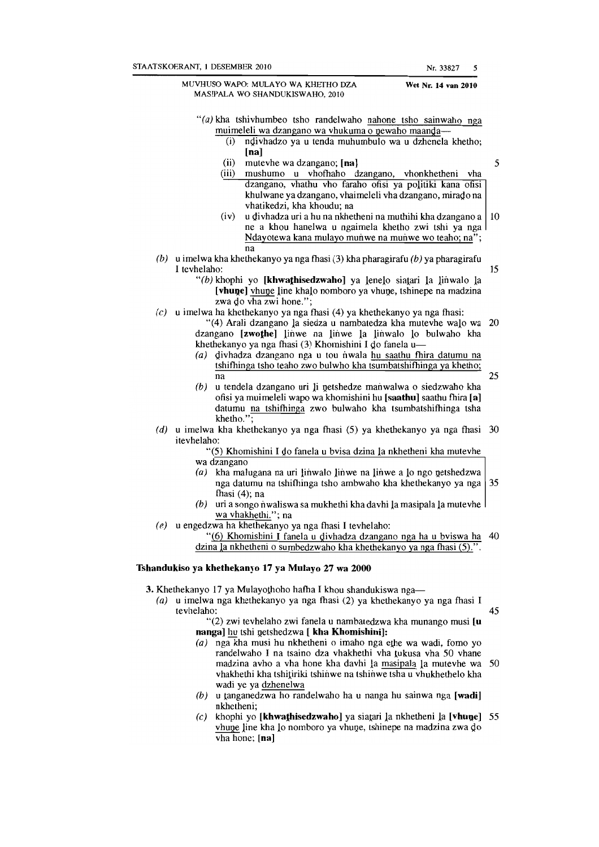MUVHUSO WAPO: MULA YO WA KHETHO DZA MASIPALA WO SHANDUKISWAHO, 2010 Nr. 33827 5 Wet Nr. 14 van 2610 " $(a)$  kha tshivhumbeo tsho randelwaho nahone tsho sainwaho nga muimeleli wa dzangano wa vhukuma  $\overline{o}$  newaho maanda-(i) nQivhadzo ya u tenda muhumbulo wa u dzhenela khetbo; [na] (ii) mutevhe wa dzangano;  $[na]$ <br>(iii) mushumo u vhofbaho dzangano, vhonkhetheni vha mushumo u vhofhaho dzangano, vhonkhetheni vha dzangano, vhathu vho faraho ofisi ya politiki kana ofisi khulwane ya dzangano, vhaimeleli vha dzangano, mirado na vhatikedzi, kha khoudu; na (iv) u divhadza uri a hu na nkhetheni na muthihi kha dzangano a  $|10\rangle$ ne a khou hanelwa u ngaimela khetho zwi tshi ya nga Ndayotewa kana mulayo munwe na munwe wo teaho; na"; na (b) u imelwa kha khethekanyo ya nga fhasi (3) kha pharagirafu (b) ya pharagirafu I tevhelaho:  $15$ " $(b)$  khophi yo [khwathisedzwaho] ya lenelo siatari la linwalo la [vhune] vhune line khalo nomboro ya vhune, tshinepe na madzina zwa do vha zwi hone.";  $(c)$  u imelwa ha khethekanyo ya nga fhasi  $(4)$  ya khethekanyo ya nga fhasi: "(4) Arali dzangano la siedza u nambatedza kha mutevhe walo wa 20 dzangano [zwothe] linwe na linwe la linwalo lo bulwaho kha khetbekanyo ya nga fbasi (3) Khomishini I *QO* fanela u-  $(a)$  divhadza dzangano nga u tou nwala hu saathu fhira datumu na tshifhinga tsho teaho zwo bulwho kha tsumbatshifhinga ya khetho;  $na$  25  $(b)$  u tendela dzangano uri li netshedze manwalwa o siedzwaho kha ofisi ya muimeleli wapo wa khomishini bu [saathu] saatbu fbira [a] datumu na tshifbinga zwo bulwaho kha tsumbatshifbinga tsha khetho.' (d) u imelwa kha khethekanyo ya nga fhasi  $(5)$  ya khethekanyo ya nga fhasi 30 itevhelaho: "(5) Khomishini I do fanela u bvisa dzina la nkhetheni kha mutevhe wa dzangano (a) kha malugana na uri linwalo linwe na linwe a lo ngo netshedzwa nga datumu na tshifbinga tsho ambwaho kha khethekanyo ya nga 35 fbasi (4); na (b) uri a songo nwaliswa sa mukhethi kha davhi la masipala la mutevhe wa vhakhethi."; na (e) u engedzwa ha khethekanyo ya nga fhasi I tevhelaho:  $(6)$  Khomishini I fanela u divhadza dzangano nga ha u bviswa ha 40 dzina la nkhetheni o sumbedzwaho kha khethekanyo ya nga fhasi  $(5)$ .

#### Tshandukiso ya khethekanyo 17 ya Mulayo 27 wa 2000

3. Khethekanyo 17 ya Mulayothoho hafha I khou shandukiswa nga-

(a) u imelwa nga khethekanyo ya nga fhasi (2) ya khethekanyo ya nga fhasi I  $tevhelaho:$  45

"(2) zwi tevhelaho zwi fanela u nambatedzwa kha munango musi [u nanga] hu tshi netshedzwa [ kha Khomishini]:

- (a) nga kha musi hu nkhetheni o imaho nga ethe wa wadi, fomo yo randelwaho I na tsaino dza vhakhethi vha lukusa vha 50 vhane madzina avho a vha hone kha davhi 1a masipala 1a mutevhe wa 50 vhakhethi kha tshitiriki tshinwe na tshinwe tsha u vhukhethelo kha wadi ye ya dzhenelwa
- (b) u tanganedzwa ho randelwaho ha u nanga hu sainwa nga [wadi] nkhetheni;
- (c) khophi yo [khwathisedzwaho] ya siatari la nkhetheni  $\lceil a \rceil$ [vhune] 55 vhuQe line kha 10 nomboro ya vhuQe, tshinepe na madzina zwa *QO*   $v$ ha hone; [na]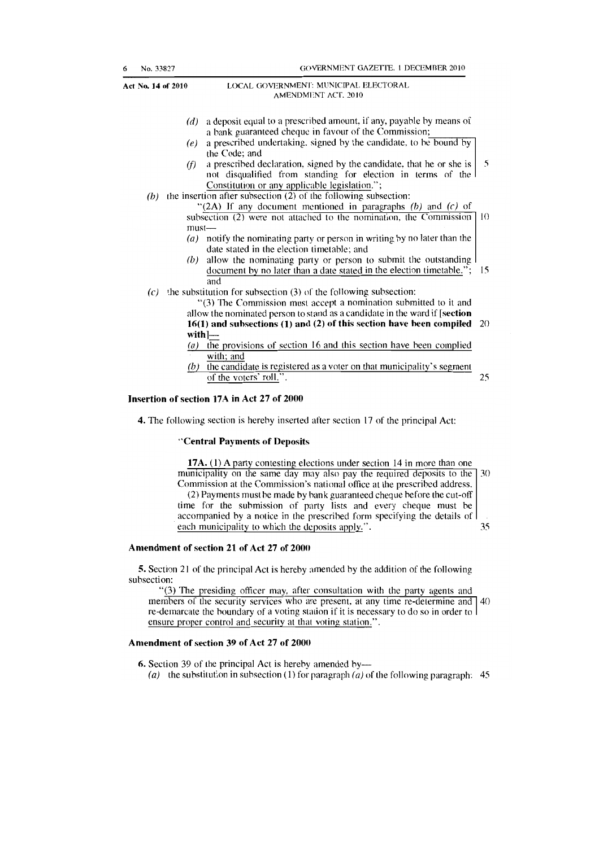| 6 | No. 33827                       | GOVERNMENT GAZETTE. 1 DECEMBER 2010                                                                                                                                                                                                                                                                                                                                                                                                                                                                                                                                                                                                                                                                                                                                                                                                                                                                            |               |
|---|---------------------------------|----------------------------------------------------------------------------------------------------------------------------------------------------------------------------------------------------------------------------------------------------------------------------------------------------------------------------------------------------------------------------------------------------------------------------------------------------------------------------------------------------------------------------------------------------------------------------------------------------------------------------------------------------------------------------------------------------------------------------------------------------------------------------------------------------------------------------------------------------------------------------------------------------------------|---------------|
|   | Act No. 14 of 2010              | LOCAL GOVERNMENT: MUNICIPAL ELECTORAL<br>AMENDMENT ACT. 2010                                                                                                                                                                                                                                                                                                                                                                                                                                                                                                                                                                                                                                                                                                                                                                                                                                                   |               |
|   | (d)<br>(e)<br>(f)<br>(b)        | a deposit equal to a prescribed amount, if any, payable by means of<br>a bank guaranteed cheque in favour of the Commission;<br>a prescribed undertaking, signed by the candidate, to be bound by<br>the Code; and<br>a prescribed declaration, signed by the candidate, that he or she is<br>not disqualified from standing for election in terms of the<br>Constitution or any applicable legislation.";<br>(b) the insertion after subsection $(2)$ of the following subsection:<br>"(2A) If any document mentioned in paragraphs $(b)$ and $(c)$ of<br>subsection (2) were not attached to the nomination, the Commission<br>$must$ —<br>(a) notify the nominating party or person in writing by no later than the<br>date stated in the election timetable; and<br>allow the nominating party or person to submit the outstanding<br>document by no later than a date stated in the election timetable."; | 5<br>10<br>15 |
|   | (c)<br>$\left( a\right)$<br>(b) | and<br>the substitution for subsection (3) of the following subsection:<br>"(3) The Commission must accept a nomination submitted to it and<br>allow the nominated person to stand as a candidate in the ward if [section<br>$16(1)$ and subsections (1) and (2) of this section have been compiled $20$<br>$with$ ]—<br>the provisions of section 16 and this section have been complied<br>with; and<br>the candidate is registered as a voter on that municipality's segment<br>of the voters' roll.".                                                                                                                                                                                                                                                                                                                                                                                                      | 25            |

#### Insertion of section 17A in Act 27 of 2000

4. The following section is herehy inserted after section 17 of the principal Act:

#### "Central Payments of Deposits

17A. (1) A party contesting elections under section 14 in more than one municipality on the same day may also pay the required deposits to the  $\vert$  30 Commission at the Commission's national officc at the prescribed address. (2) Payments must he made by han k guaranteed cheque before the cut-off

time for the suhmission of party lists and every cheque must be accompanied by a notice in the prescrihed form specifying the details of each municipality to which the deposits apply.". 35

#### Amendment of section 21 of Act 27 of 2000

5. Section 21 of the principal Act is hereby amended by the addition of the following subsection:

"(3) The presiding officer may, after consultation with the party agents and members of the security services who are present, at any time re-determine and 40 re-demarcate the boundary of a voting station if it is necessary to do so in order to ensure proper control and security at that voting station.".

#### Amendment of section 39 of Act 27 of 2000

6. Section 39 of the principal Act is hereby amended by-

(a) the substitution in subsection (1) for paragraph (a) of the following paragraph: 45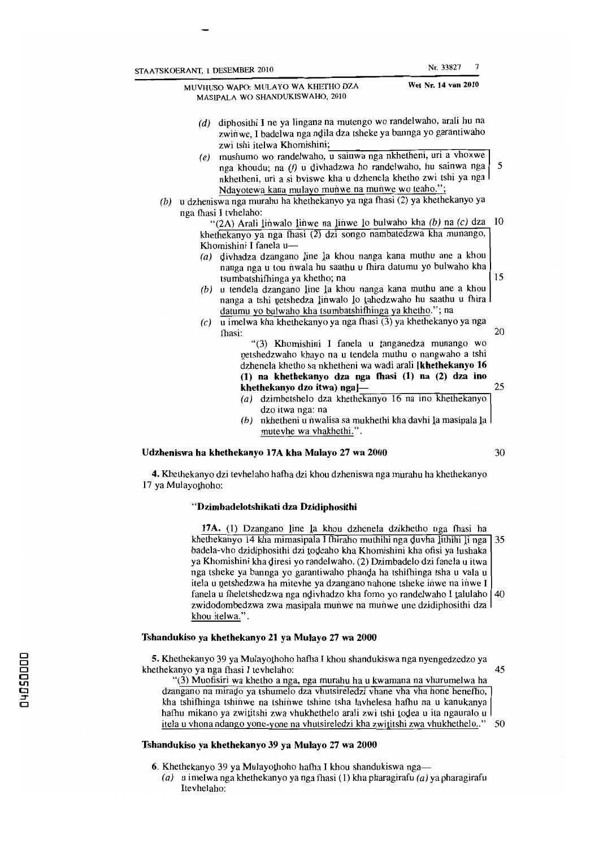MASIPALA WO SHANDUKISWAHO. 2010 Wet Nr. 14 van 2010 (d) diphosithi I ne ya lingana na mutengo wo randelwaho, arali hu na zwinwe, I badelwa nga ndila dza tsheke ya bannga yo garantiwaho zwi tshi itelwa Khomishini;<br>(e) mushumo wo randelwaho, u sainwa nga nkhetheni, uri a vhoxwe nga khoudu; na (f) u divhadzwa ho randelwaho, hu sainwa nga nkhetheni, uri a si bviswe kha u dzhenela khetho zwi tshi ya nga Ndayotewa kana mulayo munwe na munwe wo teaho.";  $(b)$  u dzheniswa nga murahu ha khethekanyo ya nga fhasi (2) ya khethekanyo ya nga fhasi I tvhelaho: "(2A) Arali linwalo linwe na linwe lo bulwaho kha  $(b)$  na  $(c)$  dza 10 khethekanyo ya nga fhasi (2) dzi songo nambatedzwa kha munango, Khomishini I fanela u-(a) Qivhadza dzangano line la khou nanga kana muthu ane a khou nanga nga u tou nwala hu saathu u fhira datumu yo bulwaho kha tsumbatshiftinga ya khetho; na 15 (b) u tendela dzangano line la khou nanga kana muthu ane a khou nanga a tshi petshedza linwalo lo tahedzwaho hu saathu u fhira datumu yo bulwaho kha tsumbatshifhinga ya khetho."; na

- (c) u imelwa kha khethekanyo ya nga fhasi  $(3)$  ya khethekanyo ya nga tbasi: 20 "(3) Khomishini I fanela u tanganedza munango wo
	- netshedzwaho khayo na u tendela muthu o nangwaho a tshi dzhenela khetho sa nkhetheni wa wadi arali [khethekanyo 16  $(1)$  na khethekanyo dza nga fhasi  $(1)$  na  $(2)$  dza ino khethekanyo dzo itwa) nga]— 25
	- (a) dzimbetshelo dza khethekanyo  $16$  na ino khethekanyo dzo itwa nga: na
	- (b) nkhetheni u nwalisa sa mukhethi kha davhi la masipala la mutevhe wa vhakhethi.".

#### Udzheniswa ha khethekanyo 17A kha Mulayo 27 wa 2000 30

4. Khethekanyo dzj tevhelaho hafua dzi khou dzheniswa nga murahu ha khethekanyo 17 ya Mulayothoho:

#### "Dzimbadelotshikati dza Dzidiphosithi

17A. (1) Dzangano line 1a khou dzhenela dzikhetho nga fhasi ha khethekanyo 14 kha mimasipala I fhiraho muthihi nga duvha lithihi li nga 35 badela-vho dzidiphosithi dzi todeaho kha Khomishini kha ofisi ya lushaka ya Khomishini kha 4iresi yo randelwaho. (2) Dzimbadelo dzi fanela u itwa nga tsheke ya bannga yo garantiwaho phanda ha tshifhinga tsha u vala u itela u netshedzwa ha mitevhe ya dzangano nahone tsheke inwe na inwe I fanela u fheletshedzwa nga ndivhadzo kha fomo yo randelwaho I talulaho 40 zwidodombedzwa zwa masipala munwe na munwe une dzidiphosithi dza khou itelwa.".

#### Tshandukiso ya khethekanyo 21 ya Mulayo 27 wa 2000

5. Khethekanyo 39 ya Mulayothoho hafha I khou shandukiswa nga nyengedzedzo ya khethekanyo ya nga fhasi I teyhelaho: 45

«(3) Muofisiri wa khetho a nga, nga murahu ha u kwamana na vhurumelwa ha dzangano na miraQo ya lshumelo dza vhutsireledzi vhane vha vha hone henefho, kha tshifhinga tshiowe na tshiowe tshine tsha lavhelesa hafhu na u kanukanya hafhu mikano ya zwititshi zwa vhukhethelo arali zwi tshi todea u ita ngauralo u itela u vhona ndango yone-yone na vhutsireledzi kha zwititshi zwa vhukhethelo.." 50

#### Tshandukiso ya khethekanyo 39 ya Mulayo 27 wa 2000

- 6. Khethekanyo 39 ya Mulayothoho hafha I khou shandukiswa nga-
	- (a) u imelwa nga khethekanyo ya nga fhasi (1) kha pharagirafu (a) ya pharagirafu Itevhelaho:

# MUVHUSO WAPO: MllLAYO WA KHETHO DZA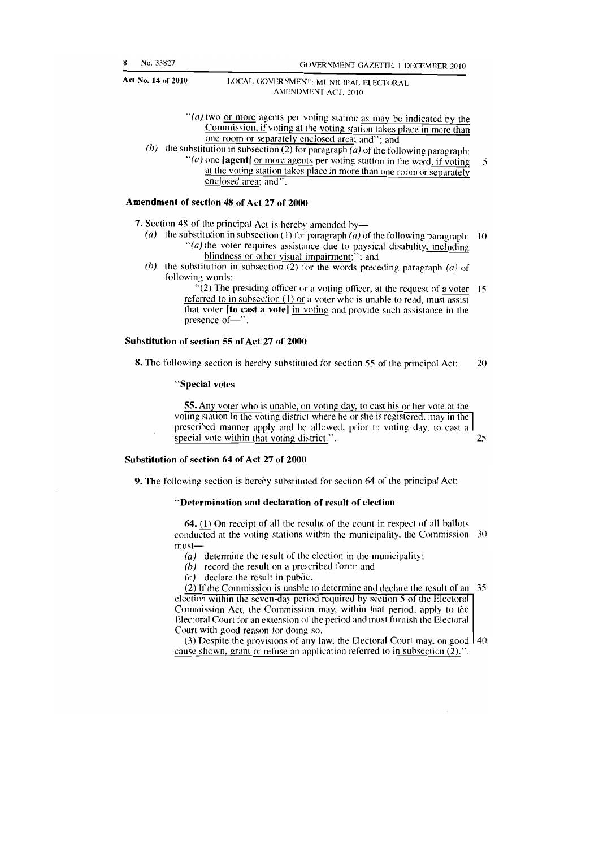" $(a)$  two or more agents per voting station as may be indicated by the Commission, if voting at the voting station takes place in more than one room or separately enclosed area; and"; and

(b) the substitution in subsection (2) for paragraph (a) of the following paragraph: "(a) one  $[agent]$  or more agents per voting station in the ward, if voting  $\overline{\mathbf{S}}$ 

at the voting station takes place in more than one room or separately enclosed area; and".

#### Amendment of section 48 of Act 27 of 2000

7. Section 48 of the principal Act is hereby amended by-

- (a) the substitution in subsection (1) for paragraph (a) of the following paragraph: 10  $\degree$ (a) the voter requires assistance due to physical disability, including blindness or other visual impairment;"; and
- (b) the substitution in subsection  $(2)$  for the words preceding paragraph  $(a)$  of following words:

 $\sqrt{2}$ ) The presiding officer or a voting officer, at the request of a voter 15 referred to in subsection (1) or a voter who is unable to read, must assist that voter  $\lceil \text{to cast a vote} \rceil$  in voting and provide such assistance in the presence of-".

#### Suhstitution of section 55 of Act 27 of 2000

8. The following section is hereby substituted for section 55 of the principal Act: 20

#### "Special votes

55. Any voter who is unable, on voting day, to cast his or her vote at the voting station in the voting district where he or she is registered, may in the prescribed manner apply and he allowed, prior to voting day, to cast a special vote within that voting district.". 25

#### Suhstitution of section 64 of Act 27 of 2000

9. The following section is hereby suhstituted for section 64 of the principal Act:

#### "Determination and declaration of result of election

64. (1) On receipt of all the results of the count in respect of all ballots conducted at the voting stations within the municipality, the Commission 30 must-

(a) determine the result of the election in the municipality;

 $(b)$  record the result on a prescribed form; and

(c) declare the result in public.

(2) If the Commission is unable to determine and declare the result of an 35 election within the seven-day period required by section 5 of the Electoral Commission Act, the Commission may, within that period, apply to the Electoral Court for an extension of the period and must fumish the Electoral Court with good reason for doing so.

(3) Despite the provisions of any law, the Electoral Court may, on good  $|40\rangle$ cause shown, grant or refuse an application referred to in subsection (2).".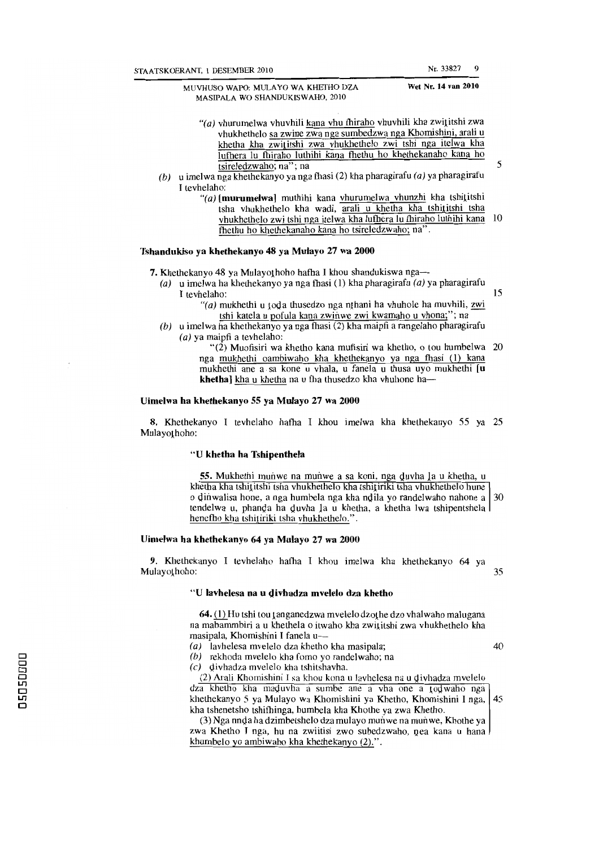Wet Nr. 14 van 2010

MUVHUSO WAPO: MULA YO WA KHETHO DZA MASIPALA WO SHANDUKISWAHO, 2010

- "(a) vhurumelwa vhuvhili kana vhu fhiraho vhuvhili kha zwititshi zwa vhukhethelo sa zwine zwa nga sumbedzwa nga Khomishini, arali u khetha kha zwititshi zwa vhukhethelo zwi tshi nga itelwa kha lufhera lu fhiraho luthihi kana fhethu ho khethekanaho kana ho tsireledzwaho; na"; na 5
- (b) u imelwa nga khethekanyo ya nga fhasi (2) kha pharagirafu (a) ya pharagirafu I tevhelaho:
	- "(a) [murumelwa] muthihi kana yhurumelwa yhunzhi kha tshititshi tsha vhukhethelo kha wadi, arali u khetha kha tshititshi tsha vhukhethelo zwi tshi nga itelwa kha lutbera lu tbiraho luthihi kana 10 fhethu ho khcthekanaho kana ho tsireledzwaho; na".

### Tshandukiso ya khethekanyo 48 ya Mulayo 27 wa 2000

7. Khethekanyo 48 ya Mulayothoho hafha I khou shandukiswa nga-

- (a) u imelwa ha khethekanyo ya nga fhasi (1) kha pharagirafu (a) ya pharagirafu I tevhelaho: 15
	- "(a) mukhethi u toda thusedzo nga nthani ha vhuhole ha muvhili, zwi tshi katela u pofula kana zwinwe zwi kwamaho u vhona;"; na
- (b) u imelwa ha khethekanyo ya nga fhasi (2) kha maipfi a rangelaho pharagirafu (a) ya maipfi a tevhelaho:

" $(2)$  Muofisiri wa khetho kana mufisiri wa khetho, o tou humbelwa 20 nga mukhethi oambiwaho kha khethekanyo ya nga fhasi (1) kana mukhethi ane a sa kone u vhala, u fanela u thusa uyo mukhethi [u khetha] kha u khetha na u fha thusedzo kha vhuhone ha-

#### Uimelwa ha khethekanyo 55 ya Mulayo 27 wa 2000

8. Khethekanyo I tevhelaho hafha I khou imelwa kha khethekanyo 55 ya 25 Mulayothoho:

#### "U khetha ha Tshipenthela

55. Mukhethi munwe na munwe a sa koni, nga duvha la u khetha, u khetha kha tshititshi tsha vhukhethelo kha tshitiriki tsha vhukhethelo hune o dinwalisa hone, a nga humbela nga kha ndila yo randelwaho nahone a 30 tendelwa u, phanda ha duvha la u khetha, a khetha lwa tshipentshela hencfho kha tshitiriki tsha vhukhcthelo.".

#### Uimelwa ha khethekanyo 64 ya Mulayo 27 wa 2000

9. Khethekanyo I tevhelaho hafha I khou imelwa kha khethekanyo 64 ya Mulayothoho: 35

#### "U lavhelesa na u divhadza mvelelo dza khetho

 $64.$  (1) Hu tshi tou tanganedzwa mvelelo dzothe dzo vhalwaho malugana na mabammbiri a u khethela o itwaho kha zwititshi zwa vhukhethelo kha masipala, Khomishini I fanela u-

(a) lavhelesa mvelelo dza khetho kha masipala; 40

(b) rekhoda mvelelo kha fomo yo randelwaho; na

 $(c)$  divhadza mvelelo kha tshitshavha.

(2) Arali Khomishini I sa khou kona ulavhelesa na u Qivhadza mvelelo dza khetho kha maduvha a sumbe ane a vha one a todwaho nga khethekanyo 5 ya Mulayo wa Khomishini ya Khetho, Khomishini I nga, 45 kha tshenetsho tshifhinga, humbela kha Khothe ya zwa Khetho.

(3) Nga nnda ha dzimbetshelo dza mulayo munwe na munwe, Khothe ya zwa Khetho I nga, hu na zwiitisi zwo subedzwaho, nea kana u hana khumbelo yo ambiwaho kha khethekanyo (2).".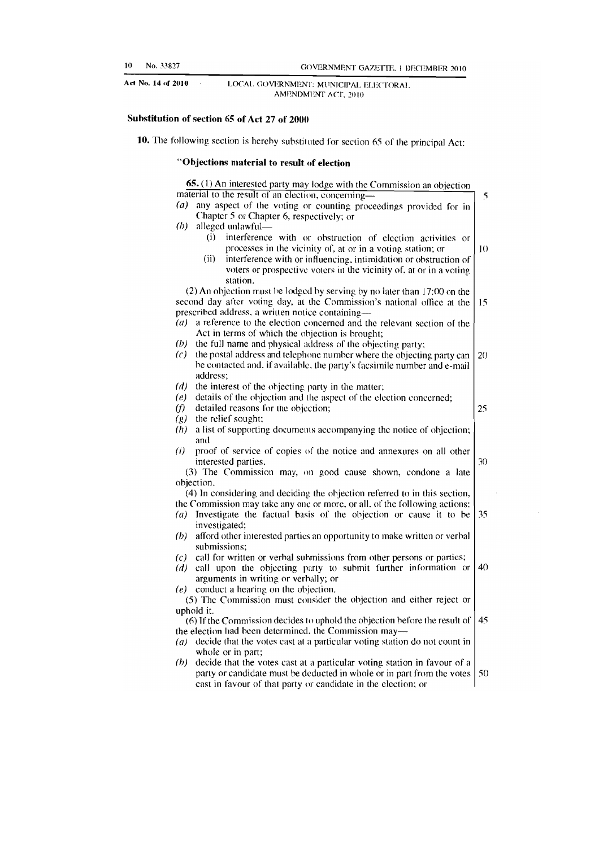### Substitution of section 65 of Act 27 of 2000

10. The following section is hereby substituted for section 65 of the principal Act:

### "Objections material to result of election

|                             | 65. (1) An interested party may lodge with the Commission an objection<br>material to the result of an election, concerning—            |     |
|-----------------------------|-----------------------------------------------------------------------------------------------------------------------------------------|-----|
| (a)                         |                                                                                                                                         |     |
|                             | any aspect of the voting or counting proceedings provided for in                                                                        |     |
|                             | Chapter 5 or Chapter 6, respectively; or                                                                                                |     |
| (b)                         | alleged unlawful—                                                                                                                       |     |
|                             | interference with or obstruction of election activities or<br>(i)                                                                       |     |
|                             | processes in the vicinity of, at or in a voting station; or                                                                             | 1() |
|                             | (ii)<br>interference with or influencing, intimidation or obstruction of                                                                |     |
|                             | voters or prospective voters in the vicinity of, at or in a voting                                                                      |     |
|                             | station.                                                                                                                                |     |
|                             | (2) An objection must be lodged by serving by no later than 17:00 on the                                                                |     |
|                             | second day after voting day, at the Commission's national office at the                                                                 | 15  |
|                             | prescribed address, a written notice containing-                                                                                        |     |
| $\left( a\right)$           | a reference to the election concerned and the relevant section of the                                                                   |     |
|                             | Act in terms of which the objection is brought;                                                                                         |     |
| (b)                         | the full name and physical address of the objecting party;                                                                              |     |
| (c)                         | the postal address and telephone number where the objecting party can                                                                   | 20  |
|                             | be contacted and, if available, the party's facsimile number and e-mail                                                                 |     |
|                             | address;                                                                                                                                |     |
| (d)                         | the interest of the objecting party in the matter;                                                                                      |     |
| (e)                         | details of the objection and the aspect of the election concerned;                                                                      |     |
| (f)                         | detailed reasons for the objection;                                                                                                     | 25  |
| $\left( \mathbf{g} \right)$ | the relief sought;                                                                                                                      |     |
| (h)                         | a list of supporting documents accompanying the notice of objection;                                                                    |     |
|                             | and                                                                                                                                     |     |
| (i)                         | proof of service of copies of the notice and annexures on all other                                                                     |     |
|                             | interested parties.                                                                                                                     | 30  |
|                             | (3) The Commission may, on good cause shown, condone a late                                                                             |     |
|                             | objection.                                                                                                                              |     |
|                             | (4) In considering and deciding the objection referred to in this section,                                                              |     |
|                             | the Commission may take any one or more, or all, of the following actions:                                                              |     |
| (a)                         | Investigate the factual basis of the objection or cause it to be                                                                        | 35  |
|                             | investigated;                                                                                                                           |     |
| (b)                         | afford other interested parties an opportunity to make written or verbal                                                                |     |
|                             | submissions:                                                                                                                            |     |
| (c)                         | call for written or verbal submissions from other persons or parties;                                                                   |     |
| (d)                         | call upon the objecting party to submit further information or                                                                          | 40  |
|                             | arguments in writing or verbally; or                                                                                                    |     |
| (e)                         | conduct a hearing on the objection.                                                                                                     |     |
|                             | (5) The Commission must consider the objection and either reject or                                                                     |     |
|                             | uphold it.                                                                                                                              |     |
|                             | (6) If the Commission decides to uphold the objection before the result of                                                              | 45  |
|                             | the election had been determined, the Commission may—                                                                                   |     |
| (a)                         | decide that the votes cast at a particular voting station do not count in                                                               |     |
|                             | whole or in part;                                                                                                                       |     |
| (b)                         | decide that the votes cast at a particular voting station in favour of a                                                                |     |
|                             |                                                                                                                                         | 50  |
|                             | party or candidate must be deducted in whole or in part from the votes<br>cast in favour of that party or candidate in the election; or |     |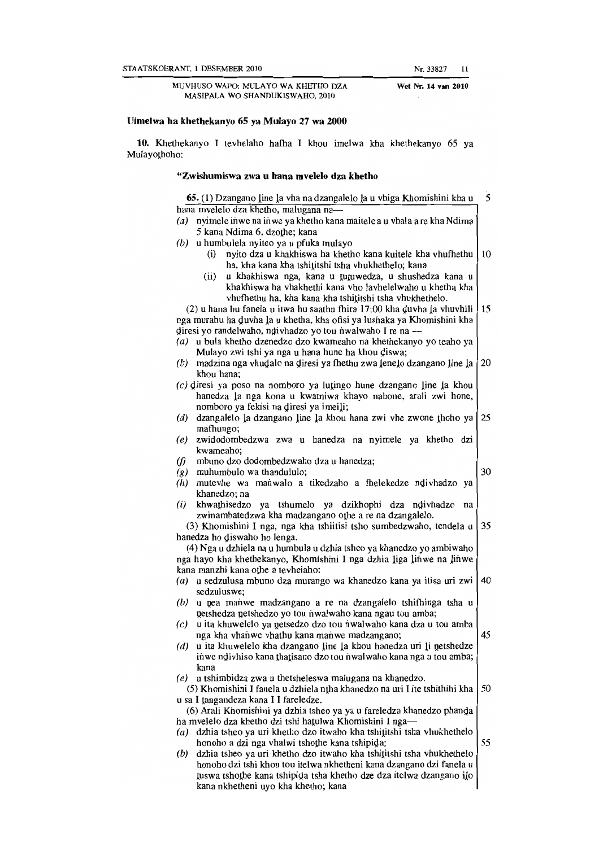MUVHUSO WAPO: MULAYO WA KHETHO DZA MASIPALA WO SHANDUKISWAHO, 2010

#### Uimelwa ha khethekanyo 65 ya Mulayo 27 wa 2000

10. Khethekanyo I tevhelaho hafha I khou imelwa kha khethekanyo 65 ya Mulayothoho:

#### "Zwishumiswa zwa u hana mveJeJo dza khetho

65. (1) Dzangano line la vha na dzangalelo la u vhiga Khomishini kha u 5 hana mvelelo dza khetho, malugana na- (a) nyimele inwe na inwe ya khetho kana maitele a u vhala a re kha Ndima 5 kana Ndima 6, dzothe; kana (b) u humbulela nyiteo ya u pfuka mulayo (i) nyito dza u khakhiswa ha khetho kana kuitele kha vhufhethu  $\vert$  10 ha, kha kana kha tshititshi tsha vhukhethelo; kana (ii) u khakhiswa nga, kana u tutuwedza, u shushedza kana u khakhiswa ha vhakhethi kana vho lavhelelwaho u khetha kha vhufhethu ha, kha kana kha tshititshi tsha vhukhethelo. (2) u hana hu fanela u itwa hu saathu fhira 17:00 kha duvha la vhuvhili  $\left| \right|$  15 nga murahu ha Quvha la u khetha, kha ofisi ya lushaka ya Khomishini kha diresi yo randelwaho, ndivhadzo yo tou nwalwaho I re na --(a) u bula khetho dzenedzo dzo kwameaho na khethekanyo yo teaho ya Mulayo zwi tshi ya nga u hana hune ha khou Qiswa; (b) madzina nga vhudalo na diresi ya fhethu zwa lenelo dzangano line la  $\vert$  20 khou hana; (e) diresi ya poso na nomboro ya lutingo hune dzangano line 1a khou hanedza 1a nga kona u kwamiwa khayo nahone, arali zwi hone, nomboro ya fekisi na diresi ya imeili; (d) dzangalelo la dzangano line la khou hana zwi vhe zwone thoho ya 25 mafhungo; (e) zwidodombedzwa zwa u hanedza na nyimele ya khetho dzi kwameaho;  $(f)$  mbuno dzo dodombedzwaho dza u hanedza;  $\left( \rho \right)$  muhumbulo wa thandululo;  $\left( 30 \right)$ (h) mutevhe wa manwalo a tikedzaho a fhelekedze nQivhadzo ya khanedzo; na (i) khwathisedzo ya tshumelo ya dzikhophi dza ndivhadzo na zwinambatedzwa kha madzangano othe a re na dzangalelo. (3) Khomishini I nga, nga kha tshiitisi tsho sumbedzwaho, tendela u 35 hanedza ho diswaho ho lenga. (4) Nga u dzhie1a na u humbula u dzhia tsheo ya khanedzo yo ambiwaho nga hayo kha khethekanyo, Khomishini I nga dzhia liga linwe na linwe kana manzhi kana othe a tevhelaho: (a) u sedzulusa mbuno dza murango wa khanedzo kana ya itisa uri zwi 40 sedzuluswe;  $(b)$  u nea manwe madzangano a re na dzangalelo tshifhinga tsha u netshedza netshedzo yo tou nwalwaho kana ngau tou amba;  $(c)$  u ita khuwelelo ya netsedzo dzo tou nwalwaho kana dza u tou amba nga kha vhanwe vhathu kana manwe madzangano; 45  $(d)$  u ita khuwelelo kha dzangano line la khou hanedza uri li netshedze inwe ndivhiso kana thatisano dzo tou nwalwaho kana nga u tou amba; kana (e) u tshimbidza zwa u thetsheleswa malugana na khanedzo. (5) Khomishini I fanela u dzhiela ntha khanedzo na uri I ite tshithihi kha  $\vert$  50 u sa I langandeza kana I I fareledze. (6) Arali Khomishini ya dzhia tsheo ya ya u fareledza khanedzo phanda ha mvelelo dza khetho dzi tshi hatulwa Khomishini I nga-(a) dzhia tsheo ya uri khetho dzo itwaho kha tshititshi tsha vhukhethelo honoho a dzi nga vhalwi tshothe kana tshipida;  $\left| \frac{55}{2} \right|$  $(b)$  dzhia tsheo ya uri khetho dzo itwaho kha tshititshi tsha vhukhethelo honoho dzi tshi khou tou itelwa nkhetheni kana dzangano dzi faneia u

tuswa tshothe kana tshipida tsha khetho dze dza itelwa dzangano ilo

kana nkhetheni uyo kha khetho; kana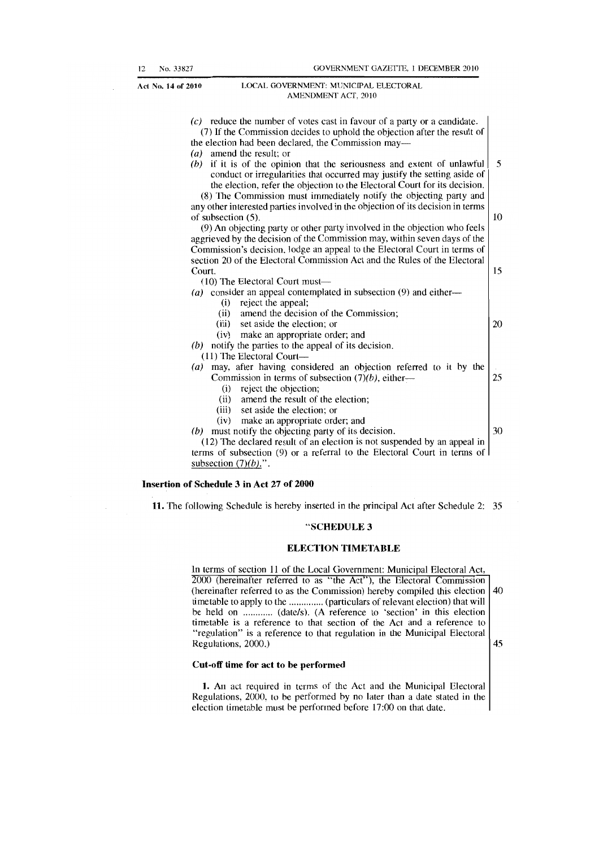| $(c)$ reduce the number of votes cast in favour of a party or a candidate.      |    |  |  |
|---------------------------------------------------------------------------------|----|--|--|
| (7) If the Commission decides to uphold the objection after the result of       |    |  |  |
| the election had been declared, the Commission may—                             |    |  |  |
| (a) amend the result; or                                                        |    |  |  |
| if it is of the opinion that the seriousness and extent of unlawful<br>(b)      | 5  |  |  |
| conduct or irregularities that occurred may justify the setting aside of        |    |  |  |
| the election, refer the objection to the Electoral Court for its decision.      |    |  |  |
| (8) The Commission must immediately notify the objecting party and              |    |  |  |
| any other interested parties involved in the objection of its decision in terms |    |  |  |
| of subsection (5).                                                              | 10 |  |  |
| (9) An objecting party or other party involved in the objection who feels       |    |  |  |
| aggrieved by the decision of the Commission may, within seven days of the       |    |  |  |
| Commission's decision, lodge an appeal to the Electoral Court in terms of       |    |  |  |
| section 20 of the Electoral Commission Act and the Rules of the Electoral       |    |  |  |
| Court.                                                                          | 15 |  |  |
| (10) The Electoral Court must—                                                  |    |  |  |
| (a) consider an appeal contemplated in subsection (9) and either—               |    |  |  |
| reject the appeal;<br>(i)                                                       |    |  |  |
| amend the decision of the Commission;<br>(ii)                                   |    |  |  |
| (iii) set aside the election; or                                                | 20 |  |  |
| (iv) make an appropriate order; and                                             |    |  |  |
| $(b)$ notify the parties to the appeal of its decision.                         |    |  |  |
| (11) The Electoral Court—                                                       |    |  |  |
| may, after having considered an objection referred to it by the<br>(a)          |    |  |  |
| Commission in terms of subsection $(7)(b)$ , either—                            | 25 |  |  |
| reject the objection;<br>(i)                                                    |    |  |  |
| amend the result of the election;<br>(ii)                                       |    |  |  |
| (iii)<br>set aside the election; or                                             |    |  |  |
| make an appropriate order; and<br>(iv)                                          |    |  |  |
| $(b)$ must notify the objecting party of its decision.                          | 30 |  |  |
| (12) The declared result of an election is not suspended by an appeal in        |    |  |  |
| terms of subsection (9) or a referral to the Electoral Court in terms of        |    |  |  |
| subsection $(7)(b)$ .".                                                         |    |  |  |

#### Insertion of Schedule 3 **in** Act 27 of 2000

11. 'The following Schedule is hereby inserted in the principal Act after Schedule 2: 35

#### "SCHEDULE 3

#### ELECTION **TIMETABLE**

In terms of section 11 of the Local Government: Municipal Electoral Act.  $2000$  (hereinafter referred to as "the Act"), the Electoral Commission (hereinafter referred to as the Commission) hereby compiled this election  $|40\rangle$ timetable to apply to the .............. (particulars of relevant election) that will be held on ............ (date/s). (A reference to 'section' in this election timetable is a reference to that section of the Act and a reference to "regulation" is a reference to that regulation in the Municipal Electoral Regulations,  $2000$ .)  $\boxed{45}$ 

#### Cut-off time for act to be performed

1. An act required in terms of the Act and the Municipal Electoral Regulations, 2000, to be performed by no later than a date stated in the election timetable must be performed before 17:00 on that date.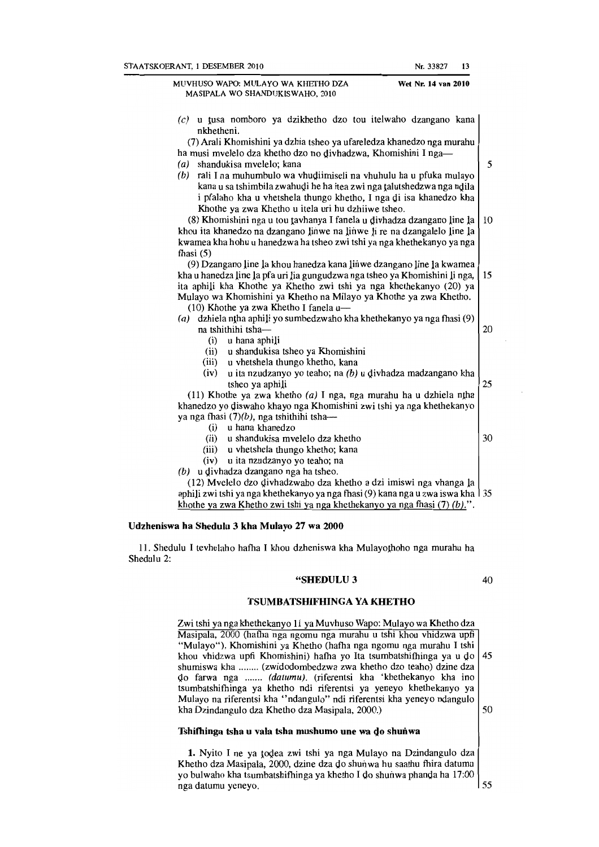#### MUVHUSO WAPO: MULA YO WA KHEfHO DZA MASIPALA WO SHANDUKISWAHO, 2010 Wet Nr. **14** van 2010

- 
- $(c)$  u tusa nomboro ya dzikhetho dzo tou itelwaho dzangano kana nkhetheni. (7) Arali Khomishini ya dzhia tsheo ya ufareledza khanedzo nga murahu ha musi mvelelo dza khetho dzo no divhadzwa, Khomishini I nga-(a) shandukisa mvelelo; kana  $\begin{bmatrix} 5 \end{bmatrix}$  $(b)$  rali I na muhumbulo wa vhudiimiseli na vhuhulu ha u pfuka mulayo kana u sa tshimbila zwahudi he ha itea zwi nga talutshedzwa nga ndila i pfalaho kha u vhetshela thungo khetho, I nga gi isa khanedzo kha Khothe ya zwa Khetho u itela uri hu dzhiiwe tsheo. (8) Khomishini nga u tou tavhanya I fanela u divhadza dzangano line la  $\vert$  10 khou ita khanedzo na dzangano linwe na linwe li re na dzangalelo line la kwamea kha hohu u hanedzwa ha tsheo zwi tshi ya nga khethekanyo ya nga fhasi (5) (9) Dzangano line la khou hanedza kana linwe dzangano line la kwamea kha u hanedza line la pfa uri lia gungudzwa nga tsheo ya Khomishini Ii nga, 15 ita aphili kha Khothe ya Khetho zwi tshi ya nga khethekanyo (20) ya Mulayo wa Khornishini ya Khetho na Milayo ya Khothe ya zwa Khetho.  $(10)$  Khothe ya zwa Khetho I fanela u-(a) dzhiela ntha aphili yo sumbedzwaho kha khethekanyo ya nga fhasi  $(9)$ na tshithihi tsha $\frac{1}{20}$  $(i)$  u hana aphili (ii) u shandukisa tsheo ya Khomishini (iii) u vhetshela thungo khetho, kana (iv) u ita nzudzanyo yo teaho; na  $(b)$  u divhadza madzangano kha  $\epsilon$  tsheo ya aphili 25 (11) Khothe ya zwa khetho  $(a)$  I nga, nga murahu ha u dzhiela ntha khanedzo yo Qiswabo khayo nga Khomishini zwi tshi ya nga khethekanyo ya nga fhasi  $(7)(b)$ , nga tshithihi tsha-(i) u hana khanedzo (ii) u shandukisa mvelelo dza khetho  $\vert$  30 (iii) u vhetshela thungo khetho; kana (iv) u ita nzudzanyo yo teabo; na  $(b)$  u divhadza dzangano nga ha tsheo. (12) Mvelelo dzo givhadzwabo dza khetho a dzi irniswi nga vhanga la aphili zwi tshi ya nga khethekanyo ya nga fhasi (9) kana nga u zwa iswa kha  $\frac{135}{ }$ khothe ya zwa Khetho zwi tshi ya nga khethekanyo ya nga fhasi (7) *(b).".*

#### Udzheniswa ha Shedulu 3 kha Mulayo 27 wa 2000

11 . Shedulu I tevhelaho hafha I khou dzheniswa kha Mulayoiboho nga murahu ha Shedulu 2:

#### "SHEDULU3

40

#### TSUMBATSHIFHINGA YA KHETHO

Zwi tshi ya nga khethekanyo 11 ya Muvhuso Wapo: Mulayo wa Khetho dza Masipala, 2000 (hafha nga ngomu nga murabu u tshi khou vhidzwa upfi "Mulayo"), Khomishini ya Khetho (hafha nga ngomu nga murahu I tshi khou vhidzwa upfi Khomishini) hafha yo Ita tsumbatshifhinga ya u do 45 shurniswa kha ........ (zwidodombedzwa zwa khetho dzo teabo) dzine dza do farwa nga ....... (datumu). (riferentsi kha 'khethekanyo kha ino tsurnbatshitbinga ya khetho ndi riferentsi ya yeneyo khethekanyo ya Mulayo na riferentsi kha "ndangulo" ndi riferentsi kha yeneyo ndangulo kha Dzindangulo dza Khetho dza Masipala, 2000.) 50

#### Tshifhinga tsha u vala tsha mushumo une wa do shunwa

1. Nyito I ne ya todea zwi tshi ya nga Mulayo na Dzindangulo dza Khetho dza Masipala, 2000, dzine dza do shunwa hu saathu fhira datumu yo bulwabo kha tsurnbatshifhinga ya khetho I go shunwa phanQa ha 17:00 nga datumu yeneyo. 55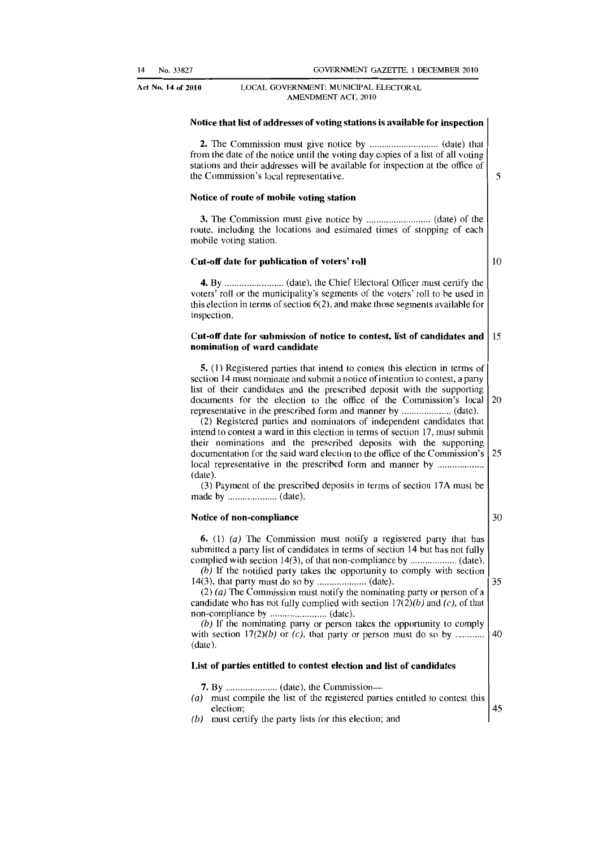Act No. 14 of 2010

#### LOCAL GOVERNMENT: MUNICIPAL ELECTORAL AMENDMENT ACT, 2010

#### Notice that list of addresses of voting stations is availahle for inspection

2. The Commission must give notice by ..... " ...... "" ........... (date) that from the date of the notice until the voting day copies of a list of all voting stations and their addresses will be available for inspection at the office of the Commission's local representative. 5

#### Notice of route of mobile voting station

3. The Commission must give notice by .. " ............. " ....... (date) of the route. including the locations and estimated times of stopping of each mohile voting station.

#### Cut-off date for publication of voters' roll

10

4. By"."" ................. (date), the Chief Electoral Ollicer must certify the voters' roll or the municipality's segments of the voters' roll to he used in this election in terms of section 6(2), and make those segments available for inspection.

#### Cut-off date for submission of notice to contest, list of candidates and  $\vert$  15 nomination of ward candidate

5. (1) Registered parties that intend to contest this election in terms of section 14 must nominate and submit a notice of intention to contest, a party list of their candidates and the prescribed deposit with the supporting documents for the election to the office of the Commission's local  $\vert$  20 representative in the prescribed form and manner by .................... (date).

(2) Registered parties and nominators of independent candidates Ihat intend to contest a ward in this election in terms of section 17, must submit their nominations and the prescribed deposits with the supporting documentation for the said ward election to the office of the Commission's 25 local representative in the prescribed form and manner by ..................... (date).

(3) Payment of the prescribed deposits in terms of section 17A must be made hy .................... (date).

#### Notice of non-compliance

30

6. (1) (a) The Commission must notify a registered party that has submitted a party list of candidates in terms of section 14 but has not fully complied with section 14(3), of that non-compliance by .................... (date).

(h) If the notified party takes the opportunity to comply with section 14(3), that party must do so by .................... (date). 35

 $(2)$  (a) The Commission must notify the nominating party or person of a candidate who has not fully complied with section  $17(2)(b)$  and  $(c)$ , of that non-compliance by ....................... (date).

(b) If the nominating party or person takes the opportunity to comply with section 17(2)(b) or (e), that party or person must do so by ............ 40 (date).

#### List of parties entitled to contest election and list of candidates

- 7. By ........ , ............ (date), the Commission-
- (a) must compile the Jist of the registered parties entitled to contest this election; and a set of the set of the set of the set of the set of the set of the set of the set of the set of the set of the set of the set of the set of the set of the set of the set of the set of the set of the set of t
- (b) must certify the party lists for this election; and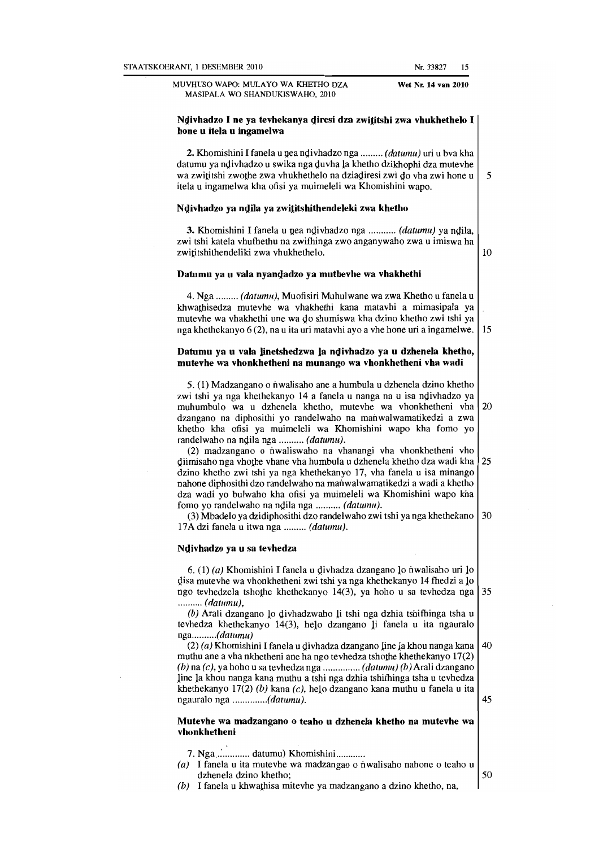MUVHUSO WAPO: MULA YO WA KHErHO DZA MASIPALA WO SHANDUKISWAHO, 2010

#### Ndivhadzo I ne ya tevhekanya diresi dza zwititshi zwa vhukhethelo I hone u itela u ingamelwa

2. Khomishini I fanela u nea ndivhadzo nga ......... *(datumu)* uri u bva kha datumu ya ndivhadzo u swika nga duvha la khetho dzikhophi dza mutevhe wa zwititshi zwo the zwa vhukhethelo na dziadiresi zwi do vha zwi hone u  $\vert 5 \rangle$ itela u ingamelwa kha ofisi ya muimeleli wa Khomishini wapo.

#### Ndivhadzo ya ndila ya zwititshithendeleki zwa khetho

3. Khomishini I fanela u pea ndivhadzo nga ........... (datumu) ya ndila, zwi tshi katela vhufhethu na zwifhinga zwo anganywaho zwa u imiswa ha zwititshithendeliki zwa vhukhethelo. 10

#### Datumu ya u vala nyamjadzo ya muthevhe wa vhakhethi

4. Nga ......... (datumu), Muofisiri Muhulwane wa zwa Khetbo u fanela u khwalhisedza mutevhe wa vhakhethi kana matavhi a mimasipala ya mutevhe wa vhakhetbi une wa do shumiswa kha dzino khetbo zwi tshi ya nga khethekanyo  $6(2)$ , na u ita uri matavhi ayo a vhe hone uri a ingamelwe. 15

#### Datumu ya u vala linetshedzwa la ndivhadzo ya u dzhenela khetho, mntevhe wa vhonkhetheni na munango wa vhonkhetheni vha wadi

5. (1) Madzangano 0 nwalisaho ane a humbula u dzhenela dzino khetho zwi tshi ya nga khethekanyo 14 a fanela u nanga na u isa ndivhadzo ya muhumbulo wa u dzhenela khetbo, mutevhe wa vhonkhetheni vha 20 dzangano na diphositbi yo randelwaho na manwalwamatikedzi a zwa khetho kha ofisi ya muimeleli wa Khomishini wapo kha fomo yo randelwaho na ndila nga .......... (datumu).

(2) madzangano 0 nwaliswaho na vhanangi vha vhonkhetheni vho diimisaho nga vho the vhane vha humbula u dzhenela khetho dza wadi kha 25 dzino khetho zwi tshi ya nga khethekanyo 17, vha faneia u isa minango nahone diphositbi dzo randelwaho na manwalwamatikedzi a wadi a khetho dza wadi yo bulwaho kha ofisi ya muimeleli wa Khomishini wapo kha fomo yo randelwaho na ndila nga .......... (datumu).

(3) Mbadelo ya dzidiphosithi dzo randelwaho zwi tshi ya nga khethekano  $\vert$  30 17Adzi fanela u itwa nga ......... (datumu).

#### Ndivhadzo ya u sa tevhedza

6. (1) (a) Khomishini I fanela u divhadza dzangano 10 nwalisaho uri 10 disa mutevhe wa vhonkhetheni zwi tshi ya nga khethekanyo 14 fhedzi a lo ngo tevhedzela tshothe khethekanyo 14(3), ya hoho u sa tevhedza nga 35 .......... (datumu).

 $(b)$  Arali dzangano lo divhadzwaho li tshi nga dzhia tshifhinga tsha u tevhedza khetbekanyo 14(3), helo dzangano Ii fanela u ita ngauralo nga...........(datumu)

(2) (a) Khomishini I fanela u divhadza dzangano line la khou nanga kana 40 muthu ane a vha nkhetheni ane ha ngo tevhedza tshothe khethekanyo  $17(2)$  $(b)$  na  $(c)$ , ya hoho u sa tevhedza nga ................. (datumu) (b) Arali dzangano line la khou nanga kana muthu a tshi nga dzhia tshitbinga tsha u tevhedza khethekanyo 17(2) (b) kana (c), helo dzangano kana muthu u fanela u ita ngauralo nga *..............* (datumu}. 45

#### Mutevhe wa madzangano o teaho u dzhenela khetho na mutevhe wa vhonkhetheni

7. Nga .............. datumu) Khomishini .............

- $(a)$  I fanela u ita mutevhe wa madzangao o nwalisaho nahone o teaho u dzhenela dzino khetho;  $\overline{50}$
- $(b)$  I fanela u khwathisa mitevhe ya madzangano a dzino khetho, na,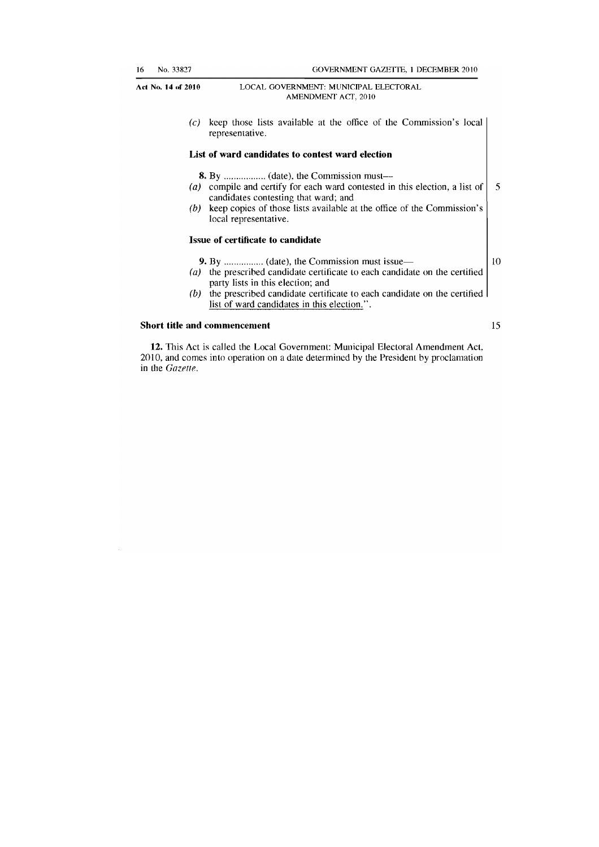(c) keep those lists available at the office of the Commission's local representative.

#### List of ward candidates to contest ward election

8. By ................. (date), the Commission must-

- (a) compile and certify for each ward contested in this election, a list of  $\begin{bmatrix} 5 \end{bmatrix}$ candidates contesting that ward; and
- (b) keep copies of those lists available at the office of the Commission's local representative.

#### Issue of certificate to candidate

- 9. By ................ (date), the Commission must issue- 10
- (a) the prescribed candidate certificate to each candidate on the certified party lists in this election; and
- $(b)$  the prescribed candidate certificate to each candidate on the certified list of ward candidates in this election.".

#### Short title and commencement 15

12. This Act is called the Local Government: Municipal Electoral Amendment Act, 2010, and comes into operation on a date determined by the President by proclamation in the *Gazette*.